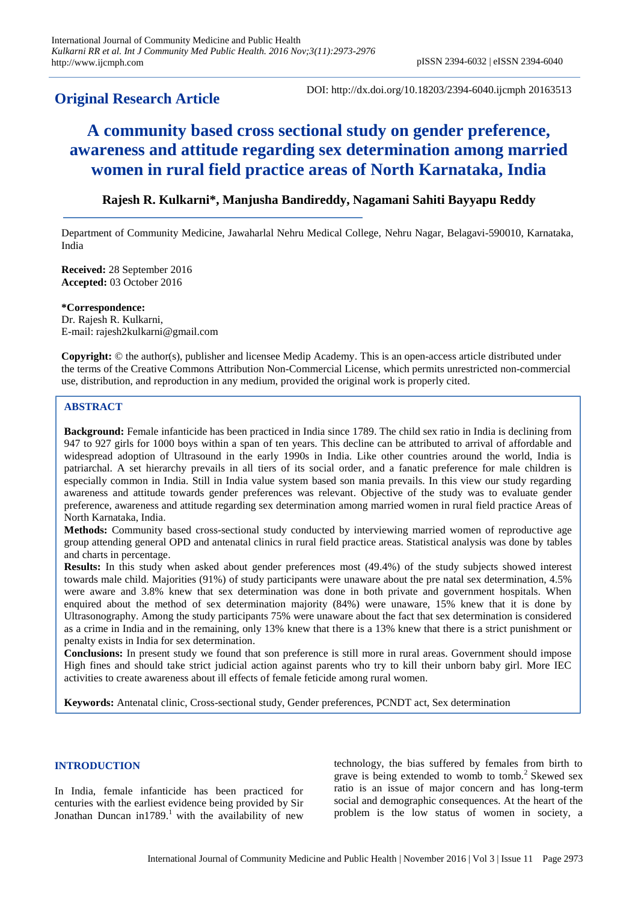# **Original Research Article**

DOI: http://dx.doi.org/10.18203/2394-6040.ijcmph 20163513

# **A community based cross sectional study on gender preference, awareness and attitude regarding sex determination among married women in rural field practice areas of North Karnataka, India**

## **Rajesh R. Kulkarni\*, Manjusha Bandireddy, Nagamani Sahiti Bayyapu Reddy**

Department of Community Medicine, Jawaharlal Nehru Medical College, Nehru Nagar, Belagavi-590010, Karnataka, India

**Received:** 28 September 2016 **Accepted:** 03 October 2016

**\*Correspondence:** Dr. Rajesh R. Kulkarni, E-mail: rajesh2kulkarni@gmail.com

**Copyright:** © the author(s), publisher and licensee Medip Academy. This is an open-access article distributed under the terms of the Creative Commons Attribution Non-Commercial License, which permits unrestricted non-commercial use, distribution, and reproduction in any medium, provided the original work is properly cited.

### **ABSTRACT**

**Background:** Female infanticide has been practiced in India since 1789. The child sex ratio in India is declining from 947 to 927 girls for 1000 boys within a span of ten years. This decline can be attributed to arrival of affordable and widespread adoption of Ultrasound in the early 1990s in India. Like other countries around the world, India is patriarchal. A set hierarchy prevails in all tiers of its social order, and a fanatic preference for male children is especially common in India. Still in India value system based son mania prevails. In this view our study regarding awareness and attitude towards gender preferences was relevant. Objective of the study was to evaluate gender preference, awareness and attitude regarding sex determination among married women in rural field practice Areas of North Karnataka, India.

**Methods:** Community based cross-sectional study conducted by interviewing married women of reproductive age group attending general OPD and antenatal clinics in rural field practice areas. Statistical analysis was done by tables and charts in percentage.

**Results:** In this study when asked about gender preferences most (49.4%) of the study subjects showed interest towards male child. Majorities (91%) of study participants were unaware about the pre natal sex determination, 4.5% were aware and 3.8% knew that sex determination was done in both private and government hospitals. When enquired about the method of sex determination majority (84%) were unaware, 15% knew that it is done by Ultrasonography. Among the study participants 75% were unaware about the fact that sex determination is considered as a crime in India and in the remaining, only 13% knew that there is a 13% knew that there is a strict punishment or penalty exists in India for sex determination.

**Conclusions:** In present study we found that son preference is still more in rural areas. Government should impose High fines and should take strict judicial action against parents who try to kill their unborn baby girl. More IEC activities to create awareness about ill effects of female feticide among rural women.

**Keywords:** Antenatal clinic, Cross-sectional study, Gender preferences, PCNDT act, Sex determination

#### **INTRODUCTION**

In India, female infanticide has been practiced for centuries with the earliest evidence being provided by Sir Jonathan Duncan in1789.<sup>1</sup> with the availability of new technology, the bias suffered by females from birth to grave is being extended to womb to tomb.<sup>2</sup> Skewed sex ratio is an issue of major concern and has long-term social and demographic consequences. At the heart of the problem is the low status of women in society, a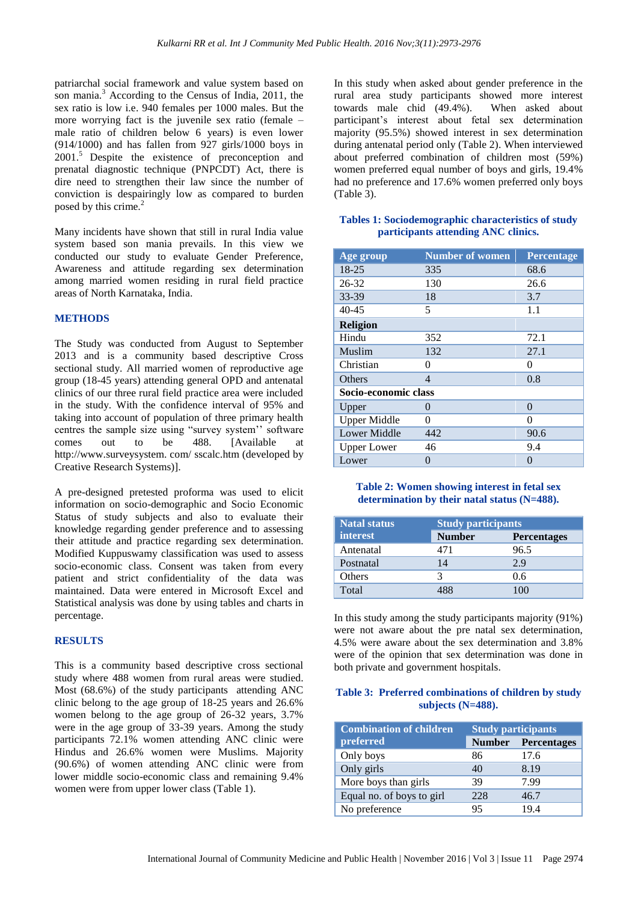patriarchal social framework and value system based on son mania.<sup>3</sup> According to the Census of India, 2011, the sex ratio is low i.e. 940 females per 1000 males. But the more worrying fact is the juvenile sex ratio (female – male ratio of children below 6 years) is even lower (914/1000) and has fallen from 927 girls/1000 boys in 2001. <sup>5</sup> Despite the existence of preconception and prenatal diagnostic technique (PNPCDT) Act, there is dire need to strengthen their law since the number of conviction is despairingly low as compared to burden posed by this crime.<sup>2</sup>

Many incidents have shown that still in rural India value system based son mania prevails. In this view we conducted our study to evaluate Gender Preference, Awareness and attitude regarding sex determination among married women residing in rural field practice areas of North Karnataka, India.

#### **METHODS**

The Study was conducted from August to September 2013 and is a community based descriptive Cross sectional study. All married women of reproductive age group (18-45 years) attending general OPD and antenatal clinics of our three rural field practice area were included in the study. With the confidence interval of 95% and taking into account of population of three primary health centres the sample size using "survey system'' software comes out to be 488. [Available at http://www.surveysystem. com/ sscalc.htm (developed by Creative Research Systems)].

A pre-designed pretested proforma was used to elicit information on socio-demographic and Socio Economic Status of study subjects and also to evaluate their knowledge regarding gender preference and to assessing their attitude and practice regarding sex determination. Modified Kuppuswamy classification was used to assess socio-economic class. Consent was taken from every patient and strict confidentiality of the data was maintained. Data were entered in Microsoft Excel and Statistical analysis was done by using tables and charts in percentage.

#### **RESULTS**

This is a community based descriptive cross sectional study where 488 women from rural areas were studied. Most (68.6%) of the study participants attending ANC clinic belong to the age group of 18-25 years and 26.6% women belong to the age group of 26-32 years, 3.7% were in the age group of 33-39 years. Among the study participants 72.1% women attending ANC clinic were Hindus and 26.6% women were Muslims. Majority (90.6%) of women attending ANC clinic were from lower middle socio-economic class and remaining 9.4% women were from upper lower class (Table 1).

In this study when asked about gender preference in the rural area study participants showed more interest towards male chid (49.4%). When asked about participant's interest about fetal sex determination majority (95.5%) showed interest in sex determination during antenatal period only (Table 2). When interviewed about preferred combination of children most (59%) women preferred equal number of boys and girls, 19.4% had no preference and 17.6% women preferred only boys  $(Table 3)$ .

#### **Tables 1: Sociodemographic characteristics of study participants attending ANC clinics.**

| Age group            | <b>Number of women</b> | Percentage |  |
|----------------------|------------------------|------------|--|
| 18-25                | 335                    | 68.6       |  |
| 26-32                | 130                    | 26.6       |  |
| 33-39                | 18                     | 3.7        |  |
| $40 - 45$            | 5                      | 1.1        |  |
| <b>Religion</b>      |                        |            |  |
| Hindu                | 352                    | 72.1       |  |
| Muslim               | 132                    | 27.1       |  |
| Christian            | 0                      | 0          |  |
| Others               | 4                      | 0.8        |  |
| Socio-economic class |                        |            |  |
| Upper                | 0                      | $\theta$   |  |
| <b>Upper Middle</b>  | 0                      | 0          |  |
| <b>Lower Middle</b>  | 442                    | 90.6       |  |
| <b>Upper Lower</b>   | 46                     | 9.4        |  |
| Lower                | 0                      | $\Omega$   |  |

#### **Table 2: Women showing interest in fetal sex determination by their natal status (N=488).**

| Natal status    | <b>Study participants</b> |                    |
|-----------------|---------------------------|--------------------|
| <b>interest</b> | <b>Number</b>             | <b>Percentages</b> |
| Antenatal       | 471                       | 96.5               |
| Postnatal       | 14                        | 2.9                |
| <b>Others</b>   |                           | 0.6                |
| Total           |                           | 100                |

In this study among the study participants majority (91%) were not aware about the pre natal sex determination, 4.5% were aware about the sex determination and 3.8% were of the opinion that sex determination was done in both private and government hospitals.

#### **Table 3: Preferred combinations of children by study subjects (N=488).**

| <b>Combination of children</b> | <b>Study participants</b> |                    |
|--------------------------------|---------------------------|--------------------|
| preferred                      | <b>Number</b>             | <b>Percentages</b> |
| Only boys                      | 86                        | 17.6               |
| Only girls                     | 40                        | 8.19               |
| More boys than girls           | 39                        | 7.99               |
| Equal no. of boys to girl      | 228                       | 46.7               |
| No preference                  | 95                        | 19.4               |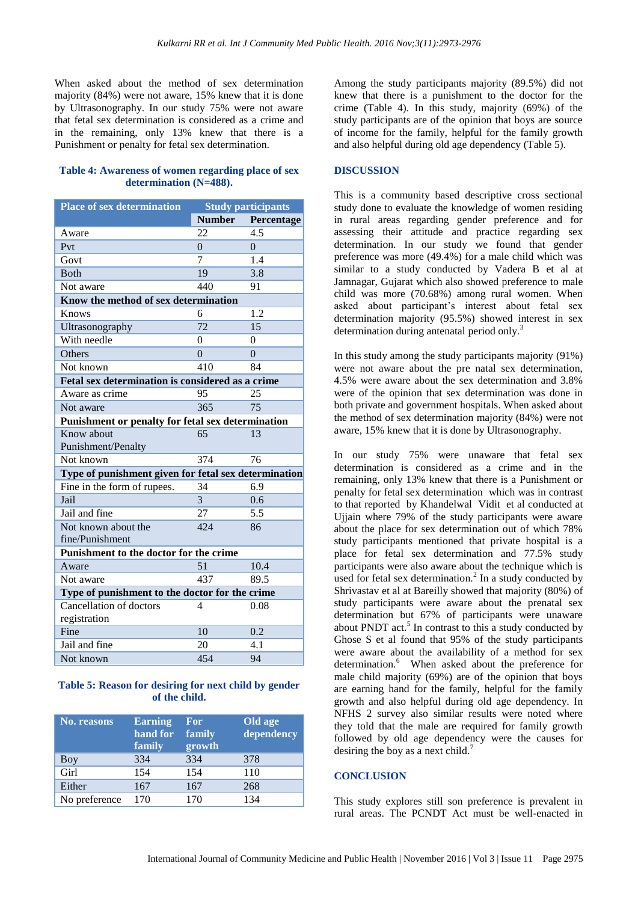When asked about the method of sex determination majority (84%) were not aware, 15% knew that it is done by Ultrasonography. In our study 75% were not aware that fetal sex determination is considered as a crime and in the remaining, only 13% knew that there is a Punishment or penalty for fetal sex determination.

#### **Table 4: Awareness of women regarding place of sex determination (N=488).**

| <b>Place of sex determination</b>                    | <b>Study participants</b> |                |  |  |  |
|------------------------------------------------------|---------------------------|----------------|--|--|--|
|                                                      | <b>Number</b>             | Percentage     |  |  |  |
| Aware                                                | 22                        | 4.5            |  |  |  |
| Pvt                                                  | $\theta$                  | $\Omega$       |  |  |  |
| Govt                                                 | 7                         | 1.4            |  |  |  |
| <b>Both</b>                                          | 19                        | 3.8            |  |  |  |
| Not aware                                            | 440                       | 91             |  |  |  |
| Know the method of sex determination                 |                           |                |  |  |  |
| Knows                                                | 6                         | 1.2            |  |  |  |
| Ultrasonography                                      | 72                        | 15             |  |  |  |
| With needle                                          | $\theta$                  | $\overline{0}$ |  |  |  |
| Others                                               | $\overline{0}$            | $\overline{0}$ |  |  |  |
| Not known                                            | 410                       | 84             |  |  |  |
| Fetal sex determination is considered as a crime     |                           |                |  |  |  |
| Aware as crime                                       | 95                        | 25             |  |  |  |
| Not aware                                            | 365                       | 75             |  |  |  |
| Punishment or penalty for fetal sex determination    |                           |                |  |  |  |
| Know about                                           | 65                        | 13             |  |  |  |
| Punishment/Penalty                                   |                           |                |  |  |  |
| Not known                                            | 374                       | 76             |  |  |  |
| Type of punishment given for fetal sex determination |                           |                |  |  |  |
| Fine in the form of rupees.                          | 34                        | 6.9            |  |  |  |
| Jail                                                 | 3                         | 0.6            |  |  |  |
| Jail and fine                                        | 27                        | 5.5            |  |  |  |
| Not known about the                                  | 424                       | 86             |  |  |  |
| fine/Punishment                                      |                           |                |  |  |  |
| Punishment to the doctor for the crime               |                           |                |  |  |  |
| Aware                                                | 51                        | 10.4           |  |  |  |
| Not aware                                            | 437                       | 89.5           |  |  |  |
| Type of punishment to the doctor for the crime       |                           |                |  |  |  |
| Cancellation of doctors                              | 4                         | 0.08           |  |  |  |
| registration                                         |                           |                |  |  |  |
| Fine                                                 | 10                        | 0.2            |  |  |  |
| Jail and fine                                        | 20                        | 4.1            |  |  |  |
| Not known                                            | 454                       | 94             |  |  |  |

#### **Table 5: Reason for desiring for next child by gender of the child.**

| <b>No. reasons</b> | <b>Earning</b><br>hand for<br>family | <b>For</b><br>family<br>growth | Old age<br>dependency |
|--------------------|--------------------------------------|--------------------------------|-----------------------|
| Boy                | 334                                  | 334                            | 378                   |
| Girl               | 154                                  | 154                            | 110                   |
| Either             | 167                                  | 167                            | 268                   |
| No preference      | 170                                  | 170                            | 134                   |

Among the study participants majority (89.5%) did not knew that there is a punishment to the doctor for the crime (Table 4). In this study, majority (69%) of the study participants are of the opinion that boys are source of income for the family, helpful for the family growth and also helpful during old age dependency (Table 5).

#### **DISCUSSION**

This is a community based descriptive cross sectional study done to evaluate the knowledge of women residing in rural areas regarding gender preference and for assessing their attitude and practice regarding sex determination. In our study we found that gender preference was more (49.4%) for a male child which was similar to a study conducted by Vadera B et al at Jamnagar, Gujarat which also showed preference to male child was more (70.68%) among rural women. When asked about participant's interest about fetal sex determination majority (95.5%) showed interest in sex determination during antenatal period only.<sup>3</sup>

In this study among the study participants majority (91%) were not aware about the pre natal sex determination, 4.5% were aware about the sex determination and 3.8% were of the opinion that sex determination was done in both private and government hospitals. When asked about the method of sex determination majority (84%) were not aware, 15% knew that it is done by Ultrasonography.

In our study 75% were unaware that fetal sex determination is considered as a crime and in the remaining, only 13% knew that there is a Punishment or penalty for fetal sex determination which was in contrast to that reported by Khandelwal Vidit et al conducted at Ujjain where 79% of the study participants were aware about the place for sex determination out of which 78% study participants mentioned that private hospital is a place for fetal sex determination and 77.5% study participants were also aware about the technique which is used for fetal sex determination.<sup>2</sup> In a study conducted by Shrivastav et al at Bareilly showed that majority (80%) of study participants were aware about the prenatal sex determination but 67% of participants were unaware about PNDT act.<sup>5</sup> In contrast to this a study conducted by Ghose S et al found that 95% of the study participants were aware about the availability of a method for sex determination.<sup>6</sup> When asked about the preference for male child majority (69%) are of the opinion that boys are earning hand for the family, helpful for the family growth and also helpful during old age dependency. In NFHS 2 survey also similar results were noted where they told that the male are required for family growth followed by old age dependency were the causes for desiring the boy as a next child.<sup>7</sup>

#### **CONCLUSION**

This study explores still son preference is prevalent in rural areas. The PCNDT Act must be well-enacted in